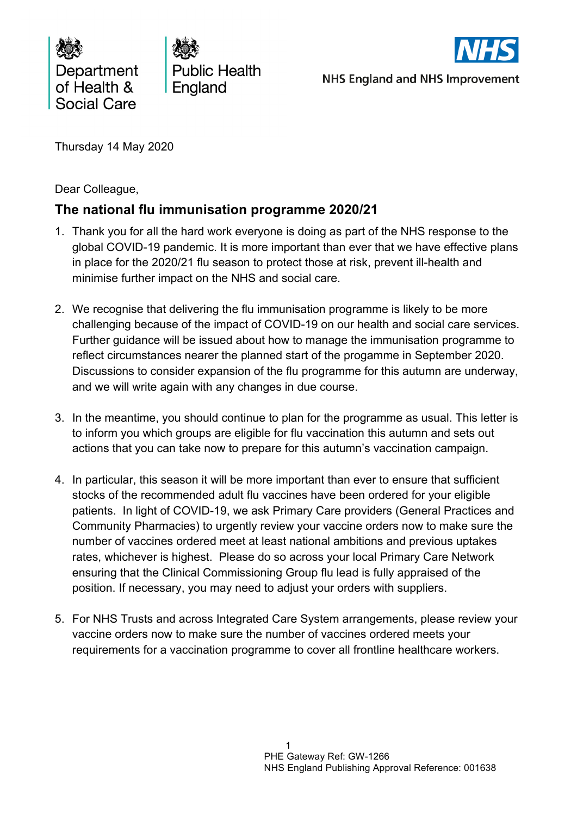

**Public Health** England



**NHS England and NHS Improvement** 

Thursday 14 May 2020

Dear Colleague,

## **The national flu immunisation programme 2020/21**

- 1. Thank you for all the hard work everyone is doing as part of the NHS response to the global COVID-19 pandemic. It is more important than ever that we have effective plans in place for the 2020/21 flu season to protect those at risk, prevent ill-health and minimise further impact on the NHS and social care.
- 2. We recognise that delivering the flu immunisation programme is likely to be more challenging because of the impact of COVID-19 on our health and social care services. Further guidance will be issued about how to manage the immunisation programme to reflect circumstances nearer the planned start of the progamme in September 2020. Discussions to consider expansion of the flu programme for this autumn are underway, and we will write again with any changes in due course.
- 3. In the meantime, you should continue to plan for the programme as usual. This letter is to inform you which groups are eligible for flu vaccination this autumn and sets out actions that you can take now to prepare for this autumn's vaccination campaign.
- 4. In particular, this season it will be more important than ever to ensure that sufficient stocks of the recommended adult flu vaccines have been ordered for your eligible patients. In light of COVID-19, we ask Primary Care providers (General Practices and Community Pharmacies) to urgently review your vaccine orders now to make sure the number of vaccines ordered meet at least national ambitions and previous uptakes rates, whichever is highest. Please do so across your local Primary Care Network ensuring that the Clinical Commissioning Group flu lead is fully appraised of the position. If necessary, you may need to adjust your orders with suppliers.
- 5. For NHS Trusts and across Integrated Care System arrangements, please review your vaccine orders now to make sure the number of vaccines ordered meets your requirements for a vaccination programme to cover all frontline healthcare workers.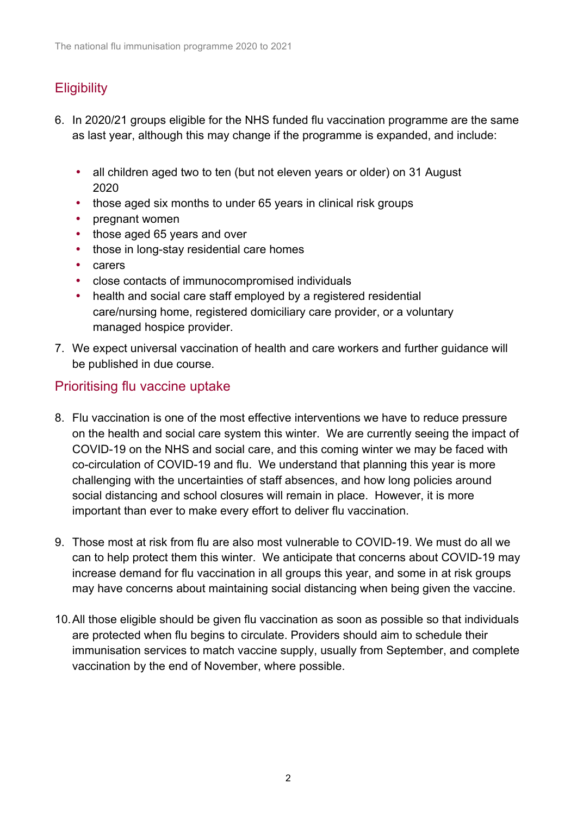## **Eligibility**

- 6. In 2020/21 groups eligible for the NHS funded flu vaccination programme are the same as last year, although this may change if the programme is expanded, and include:
	- all children aged two to ten (but not eleven years or older) on 31 August 2020
	- those aged six months to under 65 years in clinical risk groups
	- pregnant women
	- those aged 65 years and over
	- those in long-stay residential care homes
	- carers
	- close contacts of immunocompromised individuals
	- health and social care staff employed by a registered residential care/nursing home, registered domiciliary care provider, or a voluntary managed hospice provider.
- 7. We expect universal vaccination of health and care workers and further guidance will be published in due course.

## Prioritising flu vaccine uptake

- 8. Flu vaccination is one of the most effective interventions we have to reduce pressure on the health and social care system this winter. We are currently seeing the impact of COVID-19 on the NHS and social care, and this coming winter we may be faced with co-circulation of COVID-19 and flu. We understand that planning this year is more challenging with the uncertainties of staff absences, and how long policies around social distancing and school closures will remain in place. However, it is more important than ever to make every effort to deliver flu vaccination.
- 9. Those most at risk from flu are also most vulnerable to COVID-19. We must do all we can to help protect them this winter. We anticipate that concerns about COVID-19 may increase demand for flu vaccination in all groups this year, and some in at risk groups may have concerns about maintaining social distancing when being given the vaccine.
- 10.All those eligible should be given flu vaccination as soon as possible so that individuals are protected when flu begins to circulate. Providers should aim to schedule their immunisation services to match vaccine supply, usually from September, and complete vaccination by the end of November, where possible.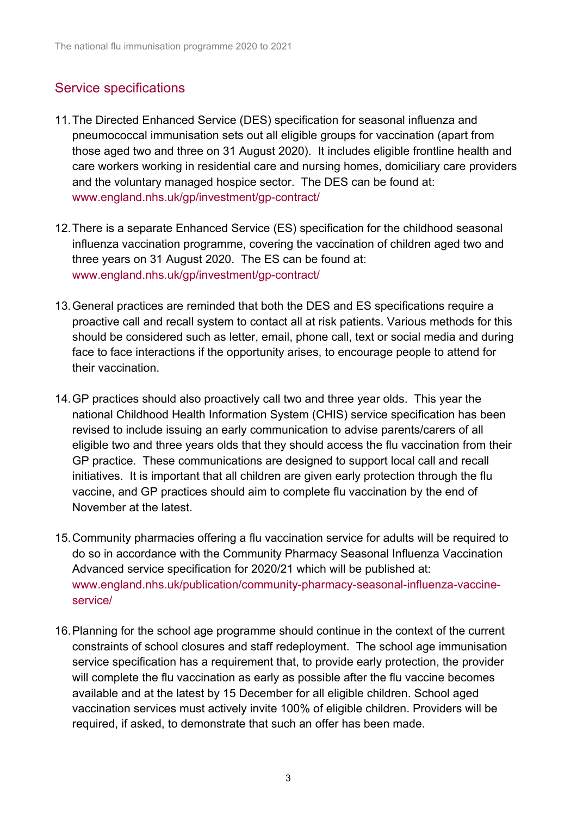## Service specifications

- 11.The Directed Enhanced Service (DES) specification for seasonal influenza and pneumococcal immunisation sets out all eligible groups for vaccination (apart from those aged two and three on 31 August 2020). It includes eligible frontline health and care workers working in residential care and nursing homes, domiciliary care providers and the voluntary managed hospice sector. The DES can be found at: www.england.nhs.uk/gp/investment/gp-contract/
- 12.There is a separate Enhanced Service (ES) specification for the childhood seasonal influenza vaccination programme, covering the vaccination of children aged two and three years on 31 August 2020. The ES can be found at: www.england.nhs.uk/gp/investment/gp-contract/
- 13.General practices are reminded that both the DES and ES specifications require a proactive call and recall system to contact all at risk patients. Various methods for this should be considered such as letter, email, phone call, text or social media and during face to face interactions if the opportunity arises, to encourage people to attend for their vaccination.
- 14.GP practices should also proactively call two and three year olds. This year the national Childhood Health Information System (CHIS) service specification has been revised to include issuing an early communication to advise parents/carers of all eligible two and three years olds that they should access the flu vaccination from their GP practice. These communications are designed to support local call and recall initiatives. It is important that all children are given early protection through the flu vaccine, and GP practices should aim to complete flu vaccination by the end of November at the latest.
- 15.Community pharmacies offering a flu vaccination service for adults will be required to do so in accordance with the Community Pharmacy Seasonal Influenza Vaccination Advanced service specification for 2020/21 which will be published at: www.england.nhs.uk/publication/community-pharmacy-seasonal-influenza-vaccineservice/
- 16.Planning for the school age programme should continue in the context of the current constraints of school closures and staff redeployment. The school age immunisation service specification has a requirement that, to provide early protection, the provider will complete the flu vaccination as early as possible after the flu vaccine becomes available and at the latest by 15 December for all eligible children. School aged vaccination services must actively invite 100% of eligible children. Providers will be required, if asked, to demonstrate that such an offer has been made.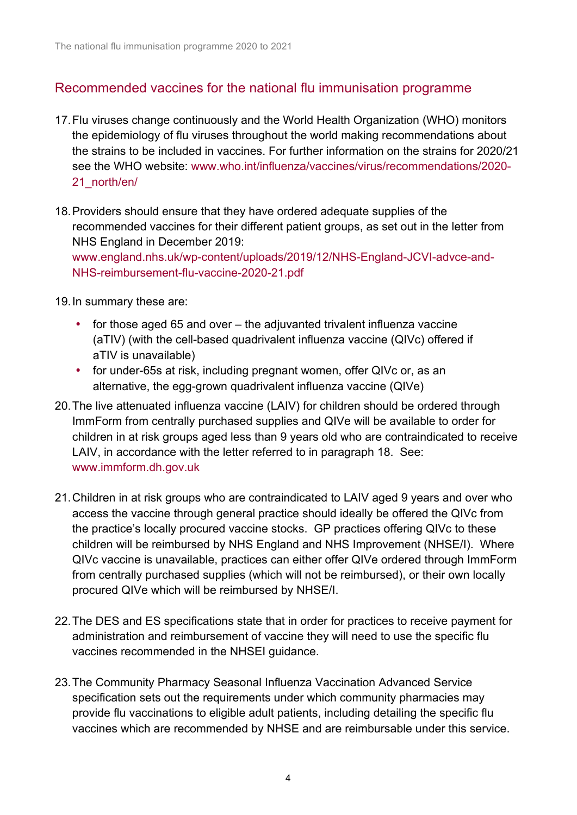## Recommended vaccines for the national flu immunisation programme

- 17.Flu viruses change continuously and the World Health Organization (WHO) monitors the epidemiology of flu viruses throughout the world making recommendations about the strains to be included in vaccines. For further information on the strains for 2020/21 see the WHO website: www.who.int/influenza/vaccines/virus/recommendations/2020- 21\_north/en/
- 18.Providers should ensure that they have ordered adequate supplies of the recommended vaccines for their different patient groups, as set out in the letter from NHS England in December 2019: www.england.nhs.uk/wp-content/uploads/2019/12/NHS-England-JCVI-advce-and-NHS-reimbursement-flu-vaccine-2020-21.pdf

19.In summary these are:

- for those aged 65 and over the adjuvanted trivalent influenza vaccine (aTIV) (with the cell-based quadrivalent influenza vaccine (QIVc) offered if aTIV is unavailable)
- for under-65s at risk, including pregnant women, offer QIVc or, as an alternative, the egg-grown quadrivalent influenza vaccine (QIVe)
- 20.The live attenuated influenza vaccine (LAIV) for children should be ordered through ImmForm from centrally purchased supplies and QIVe will be available to order for children in at risk groups aged less than 9 years old who are contraindicated to receive LAIV, in accordance with the letter referred to in paragraph 18. See: www.immform.dh.gov.uk
- 21.Children in at risk groups who are contraindicated to LAIV aged 9 years and over who access the vaccine through general practice should ideally be offered the QIVc from the practice's locally procured vaccine stocks. GP practices offering QIVc to these children will be reimbursed by NHS England and NHS Improvement (NHSE/I). Where QIVc vaccine is unavailable, practices can either offer QIVe ordered through ImmForm from centrally purchased supplies (which will not be reimbursed), or their own locally procured QIVe which will be reimbursed by NHSE/I.
- 22.The DES and ES specifications state that in order for practices to receive payment for administration and reimbursement of vaccine they will need to use the specific flu vaccines recommended in the NHSEI guidance.
- 23.The Community Pharmacy Seasonal Influenza Vaccination Advanced Service specification sets out the requirements under which community pharmacies may provide flu vaccinations to eligible adult patients, including detailing the specific flu vaccines which are recommended by NHSE and are reimbursable under this service.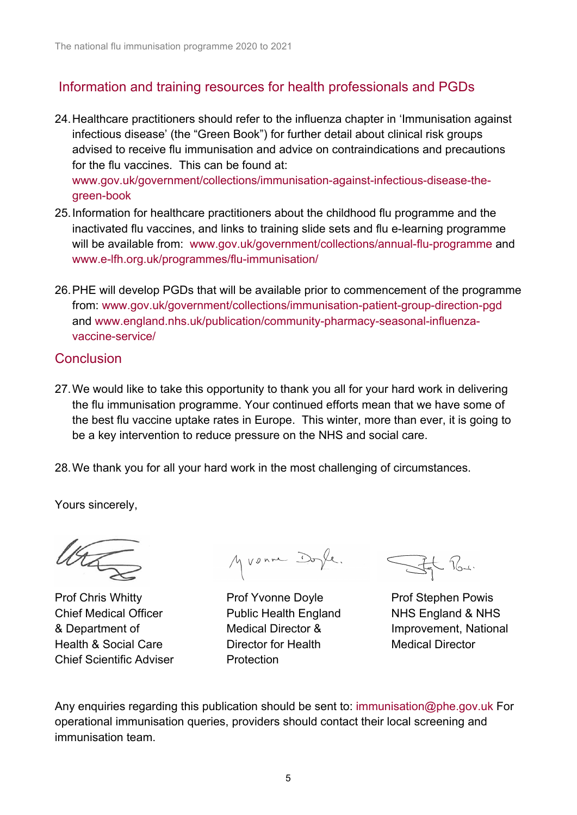### Information and training resources for health professionals and PGDs

- 24.Healthcare practitioners should refer to the influenza chapter in 'Immunisation against infectious disease' (the "Green Book") for further detail about clinical risk groups advised to receive flu immunisation and advice on contraindications and precautions for the flu vaccines. This can be found at: www.gov.uk/government/collections/immunisation-against-infectious-disease-thegreen-book
- 25.Information for healthcare practitioners about the childhood flu programme and the inactivated flu vaccines, and links to training slide sets and flu e-learning programme will be available from: www.gov.uk/government/collections/annual-flu-programme and www.e-lfh.org.uk/programmes/flu-immunisation/
- 26.PHE will develop PGDs that will be available prior to commencement of the programme from: www.gov.uk/government/collections/immunisation-patient-group-direction-pgd and www.england.nhs.uk/publication/community-pharmacy-seasonal-influenzavaccine-service/

#### Conclusion

27.We would like to take this opportunity to thank you all for your hard work in delivering the flu immunisation programme. Your continued efforts mean that we have some of the best flu vaccine uptake rates in Europe. This winter, more than ever, it is going to be a key intervention to reduce pressure on the NHS and social care.

28.We thank you for all your hard work in the most challenging of circumstances.

Yours sincerely,

the

Prof Chris Whitty **Prof Yvonne Doyle** Prof Stephen Powis Chief Medical Officer **Public Health England** NHS England & NHS & Department of Medical Director & Improvement, National Health & Social Care Director for Health Medical Director Chief Scientific Adviser Protection

Myvenne Doyle.

- 164.

Any enquiries regarding this publication should be sent to: immunisation@phe.gov.uk For operational immunisation queries, providers should contact their local screening and immunisation team.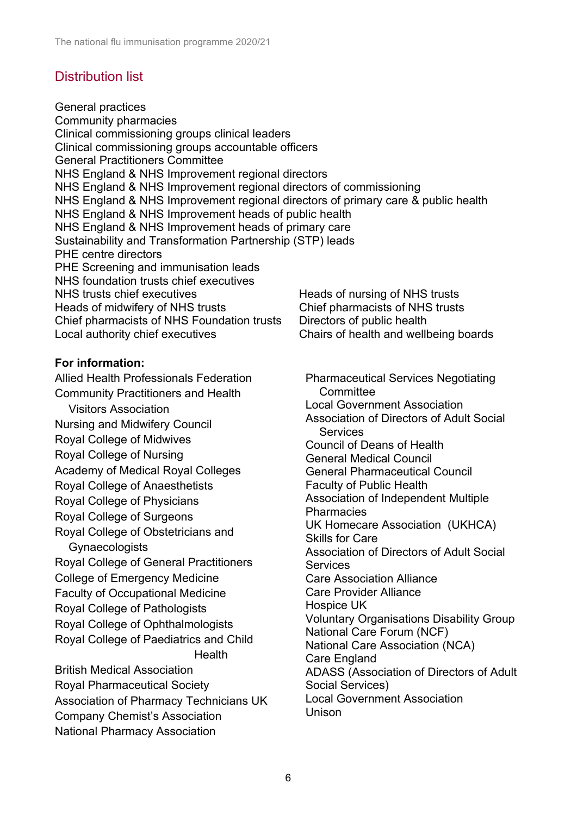## Distribution list

General practices Community pharmacies Clinical commissioning groups clinical leaders Clinical commissioning groups accountable officers General Practitioners Committee NHS England & NHS Improvement regional directors NHS England & NHS Improvement regional directors of commissioning NHS England & NHS Improvement regional directors of primary care & public health NHS England & NHS Improvement heads of public health NHS England & NHS Improvement heads of primary care Sustainability and Transformation Partnership (STP) leads PHE centre directors PHE Screening and immunisation leads NHS foundation trusts chief executives NHS trusts chief executives Heads of nursing of NHS trusts Heads of midwifery of NHS trusts Chief pharmacists of NHS trusts Chief pharmacists of NHS Foundation trusts Directors of public health Local authority chief executives Chairs of health and wellbeing boards

#### **For information:**

Allied Health Professionals Federation Community Practitioners and Health Visitors Association Nursing and Midwifery Council Royal College of Midwives Royal College of Nursing Academy of Medical Royal Colleges Royal College of Anaesthetists Royal College of Physicians Royal College of Surgeons Royal College of Obstetricians and Gynaecologists Royal College of General Practitioners College of Emergency Medicine Faculty of Occupational Medicine Royal College of Pathologists Royal College of Ophthalmologists Royal College of Paediatrics and Child Health British Medical Association Royal Pharmaceutical Society Association of Pharmacy Technicians UK Company Chemist's Association

National Pharmacy Association

Pharmaceutical Services Negotiating **Committee** Local Government Association Association of Directors of Adult Social Services Council of Deans of Health General Medical Council General Pharmaceutical Council Faculty of Public Health Association of Independent Multiple **Pharmacies** UK Homecare Association (UKHCA) Skills for Care Association of Directors of Adult Social **Services** Care Association Alliance Care Provider Alliance Hospice UK Voluntary Organisations Disability Group National Care Forum (NCF) National Care Association (NCA) Care England ADASS (Association of Directors of Adult Social Services) Local Government Association Unison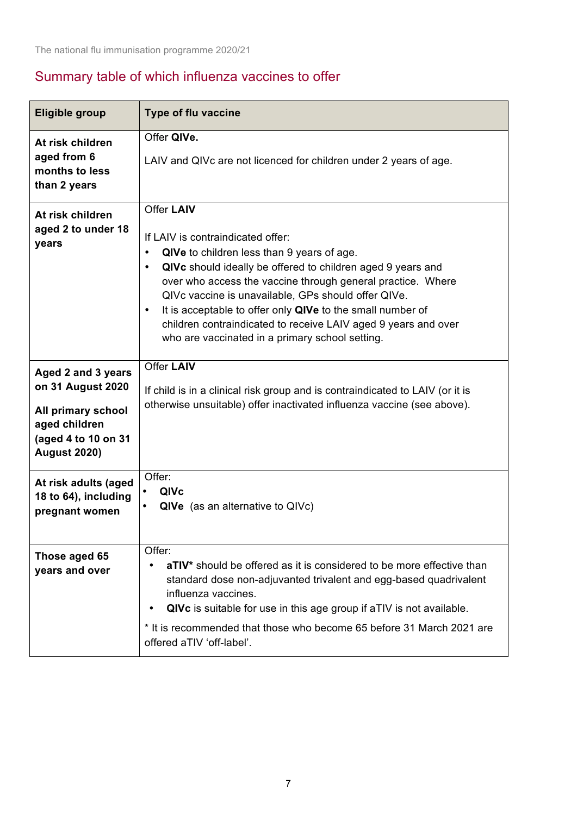# Summary table of which influenza vaccines to offer

| <b>Eligible group</b>                                                                                                        | <b>Type of flu vaccine</b>                                                                                                                                                                                                                                                                                                                                                                                                                                                                                          |  |  |  |  |
|------------------------------------------------------------------------------------------------------------------------------|---------------------------------------------------------------------------------------------------------------------------------------------------------------------------------------------------------------------------------------------------------------------------------------------------------------------------------------------------------------------------------------------------------------------------------------------------------------------------------------------------------------------|--|--|--|--|
| At risk children<br>aged from 6<br>months to less<br>than 2 years                                                            | Offer QIVe.<br>LAIV and QIVc are not licenced for children under 2 years of age.                                                                                                                                                                                                                                                                                                                                                                                                                                    |  |  |  |  |
| At risk children<br>aged 2 to under 18<br>years                                                                              | <b>Offer LAIV</b><br>If LAIV is contraindicated offer:<br>QIVe to children less than 9 years of age.<br>$\bullet$<br>QIVc should ideally be offered to children aged 9 years and<br>$\bullet$<br>over who access the vaccine through general practice. Where<br>QIVc vaccine is unavailable, GPs should offer QIVe.<br>It is acceptable to offer only QIVe to the small number of<br>$\bullet$<br>children contraindicated to receive LAIV aged 9 years and over<br>who are vaccinated in a primary school setting. |  |  |  |  |
| Aged 2 and 3 years<br>on 31 August 2020<br>All primary school<br>aged children<br>(aged 4 to 10 on 31<br><b>August 2020)</b> | Offer LAIV<br>If child is in a clinical risk group and is contraindicated to LAIV (or it is<br>otherwise unsuitable) offer inactivated influenza vaccine (see above).                                                                                                                                                                                                                                                                                                                                               |  |  |  |  |
| At risk adults (aged<br>18 to 64), including<br>pregnant women                                                               | Offer:<br>QIVc<br>$\bullet$<br>QIVe (as an alternative to QIVc)<br>$\bullet$                                                                                                                                                                                                                                                                                                                                                                                                                                        |  |  |  |  |
| Those aged 65<br>years and over                                                                                              | Offer:<br>aTIV* should be offered as it is considered to be more effective than<br>standard dose non-adjuvanted trivalent and egg-based quadrivalent<br>influenza vaccines.<br>QIVc is suitable for use in this age group if aTIV is not available.<br>* It is recommended that those who become 65 before 31 March 2021 are<br>offered aTIV 'off-label'.                                                                                                                                                           |  |  |  |  |